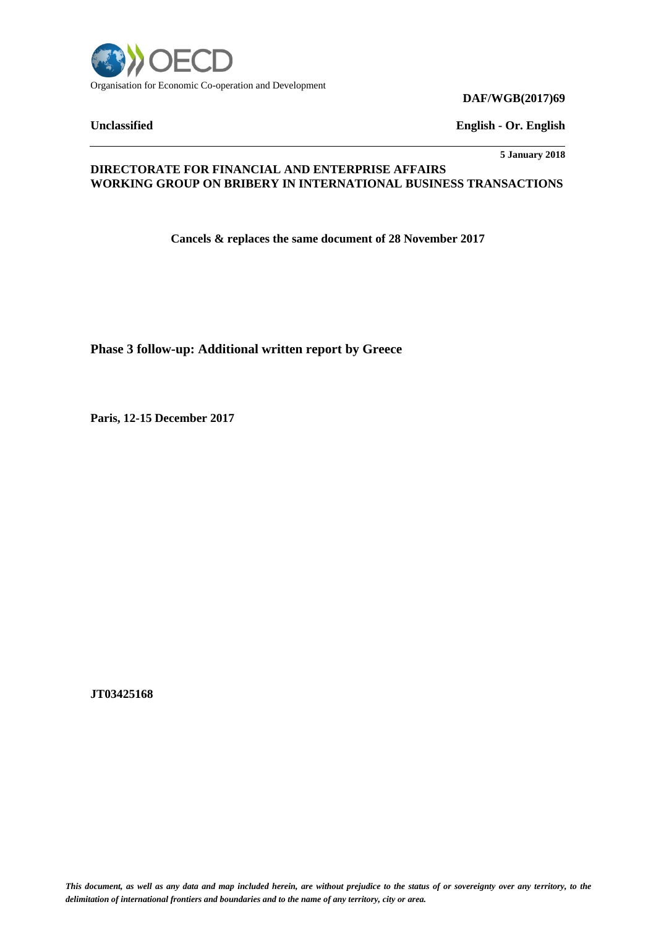

**DAF/WGB(2017)69**

**Unclassified English - Or. English**

**5 January 2018**

### **DIRECTORATE FOR FINANCIAL AND ENTERPRISE AFFAIRS WORKING GROUP ON BRIBERY IN INTERNATIONAL BUSINESS TRANSACTIONS**

**Cancels & replaces the same document of 28 November 2017**

**Phase 3 follow-up: Additional written report by Greece**

**Paris, 12-15 December 2017**

**JT03425168**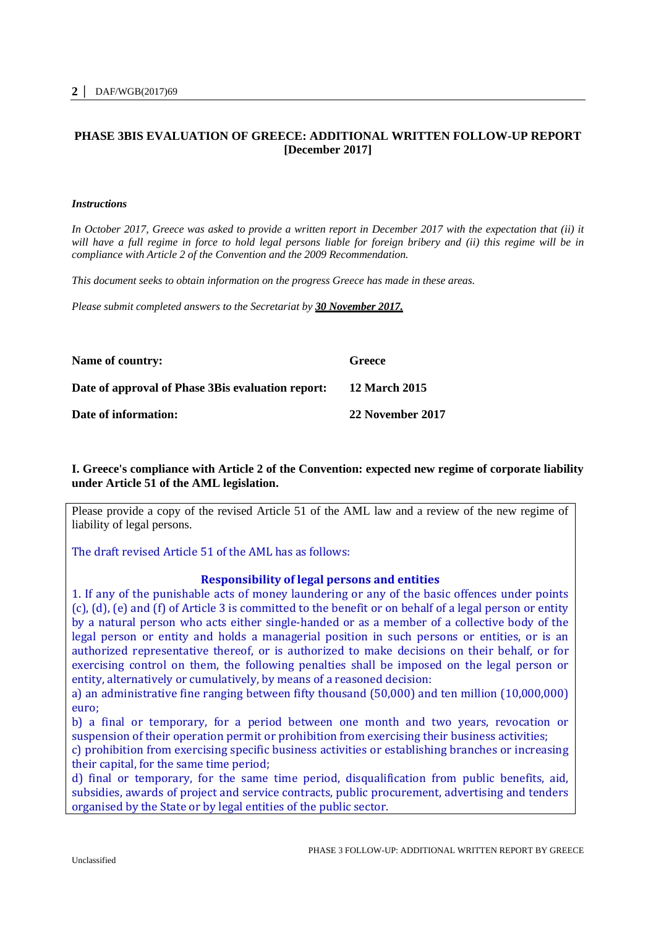## **PHASE 3BIS EVALUATION OF GREECE: ADDITIONAL WRITTEN FOLLOW-UP REPORT [December 2017]**

#### *Instructions*

*In October 2017, Greece was asked to provide a written report in December 2017 with the expectation that (ii) it*  will have a full regime in force to hold legal persons liable for foreign bribery and (ii) this regime will be in *compliance with Article 2 of the Convention and the 2009 Recommendation.* 

*This document seeks to obtain information on the progress Greece has made in these areas.*

*Please submit completed answers to the Secretariat by 30 November 2017.*

| Name of country:                                  | Greece               |
|---------------------------------------------------|----------------------|
| Date of approval of Phase 3Bis evaluation report: | <b>12 March 2015</b> |
| Date of information:                              | 22 November 2017     |

### **I. Greece's compliance with Article 2 of the Convention: expected new regime of corporate liability under Article 51 of the AML legislation.**

Please provide a copy of the revised Article 51 of the AML law and a review of the new regime of liability of legal persons.

The draft revised Article 51 of the AML has as follows:

### **Responsibility of legal persons and entities**

1. If any of the punishable acts of money laundering or any of the basic offences under points (c), (d), (e) and (f) of Article 3 is committed to the benefit or on behalf of a legal person or entity by a natural person who acts either single-handed or as a member of a collective body of the legal person or entity and holds a managerial position in such persons or entities, or is an authorized representative thereof, or is authorized to make decisions on their behalf, or for exercising control on them, the following penalties shall be imposed on the legal person or entity, alternatively or cumulatively, by means of a reasoned decision:

a) an administrative fine ranging between fifty thousand (50,000) and ten million (10,000,000) euro;

b) a final or temporary, for a period between one month and two years, revocation or suspension of their operation permit or prohibition from exercising their business activities;

c) prohibition from exercising specific business activities or establishing branches or increasing their capital, for the same time period;

d) final or temporary, for the same time period, disqualification from public benefits, aid, subsidies, awards of project and service contracts, public procurement, advertising and tenders organised by the State or by legal entities of the public sector.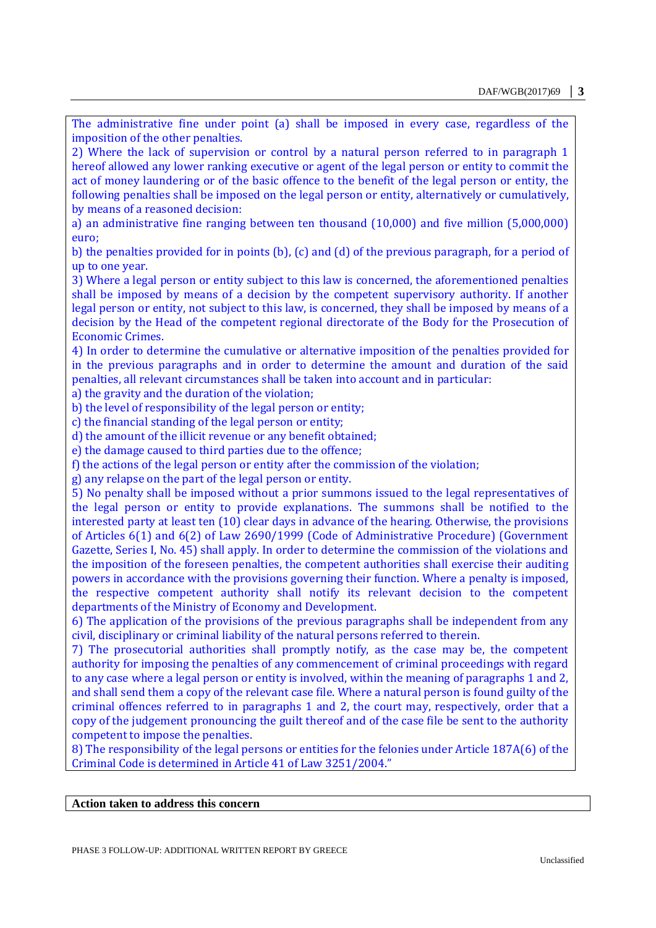The administrative fine under point (a) shall be imposed in every case, regardless of the imposition of the other penalties.

2) Where the lack of supervision or control by a natural person referred to in paragraph 1 hereof allowed any lower ranking executive or agent of the legal person or entity to commit the act of money laundering or of the basic offence to the benefit of the legal person or entity, the following penalties shall be imposed on the legal person or entity, alternatively or cumulatively, by means of a reasoned decision:

a) an administrative fine ranging between ten thousand (10,000) and five million (5,000,000) euro;

b) the penalties provided for in points (b), (c) and (d) of the previous paragraph, for a period of up to one year.

3) Where a legal person or entity subject to this law is concerned, the aforementioned penalties shall be imposed by means of a decision by the competent supervisory authority. If another legal person or entity, not subject to this law, is concerned, they shall be imposed by means of a decision by the Head of the competent regional directorate of the Body for the Prosecution of Economic Crimes.

4) In order to determine the cumulative or alternative imposition of the penalties provided for in the previous paragraphs and in order to determine the amount and duration of the said penalties, all relevant circumstances shall be taken into account and in particular:

a) the gravity and the duration of the violation;

b) the level of responsibility of the legal person or entity;

c) the financial standing of the legal person or entity;

d) the amount of the illicit revenue or any benefit obtained;

e) the damage caused to third parties due to the offence;

f) the actions of the legal person or entity after the commission of the violation;

g) any relapse on the part of the legal person or entity.

5) No penalty shall be imposed without a prior summons issued to the legal representatives of the legal person or entity to provide explanations. The summons shall be notified to the interested party at least ten (10) clear days in advance of the hearing. Otherwise, the provisions of Articles 6(1) and 6(2) of Law 2690/1999 (Code of Administrative Procedure) (Government Gazette, Series I, No. 45) shall apply. In order to determine the commission of the violations and the imposition of the foreseen penalties, the competent authorities shall exercise their auditing powers in accordance with the provisions governing their function. Where a penalty is imposed, the respective competent authority shall notify its relevant decision to the competent departments of the Ministry of Economy and Development.

6) The application of the provisions of the previous paragraphs shall be independent from any civil, disciplinary or criminal liability of the natural persons referred to therein.

7) The prosecutorial authorities shall promptly notify, as the case may be, the competent authority for imposing the penalties of any commencement of criminal proceedings with regard to any case where a legal person or entity is involved, within the meaning of paragraphs 1 and 2, and shall send them a copy of the relevant case file. Where a natural person is found guilty of the criminal offences referred to in paragraphs 1 and 2, the court may, respectively, order that a copy of the judgement pronouncing the guilt thereof and of the case file be sent to the authority competent to impose the penalties.

8) The responsibility of the legal persons or entities for the felonies under Article 187A(6) of the Criminal Code is determined in Article 41 of Law 3251/2004."

#### **Action taken to address this concern**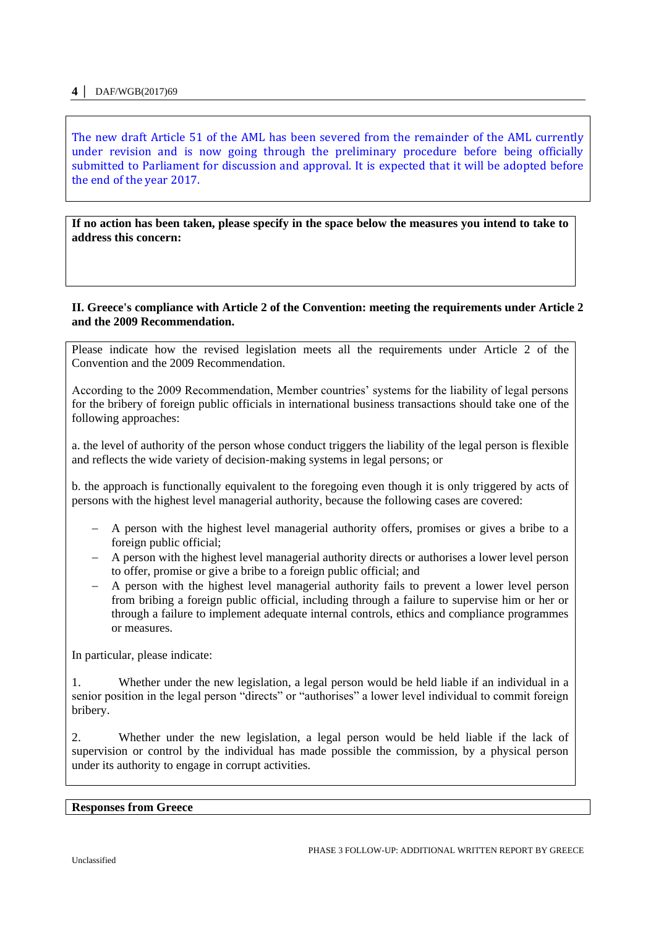The new draft Article 51 of the AML has been severed from the remainder of the AML currently under revision and is now going through the preliminary procedure before being officially submitted to Parliament for discussion and approval. It is expected that it will be adopted before the end of the year 2017.

**If no action has been taken, please specify in the space below the measures you intend to take to address this concern:** 

#### **II. Greece's compliance with Article 2 of the Convention: meeting the requirements under Article 2 and the 2009 Recommendation.**

Please indicate how the revised legislation meets all the requirements under Article 2 of the Convention and the 2009 Recommendation.

According to the 2009 Recommendation, Member countries' systems for the liability of legal persons for the bribery of foreign public officials in international business transactions should take one of the following approaches:

a. the level of authority of the person whose conduct triggers the liability of the legal person is flexible and reflects the wide variety of decision-making systems in legal persons; or

b. the approach is functionally equivalent to the foregoing even though it is only triggered by acts of persons with the highest level managerial authority, because the following cases are covered:

- A person with the highest level managerial authority offers, promises or gives a bribe to a foreign public official;
- A person with the highest level managerial authority directs or authorises a lower level person to offer, promise or give a bribe to a foreign public official; and
- A person with the highest level managerial authority fails to prevent a lower level person from bribing a foreign public official, including through a failure to supervise him or her or through a failure to implement adequate internal controls, ethics and compliance programmes or measures.

In particular, please indicate:

1. Whether under the new legislation, a legal person would be held liable if an individual in a senior position in the legal person "directs" or "authorises" a lower level individual to commit foreign bribery.

2. Whether under the new legislation, a legal person would be held liable if the lack of supervision or control by the individual has made possible the commission, by a physical person under its authority to engage in corrupt activities.

**Responses from Greece**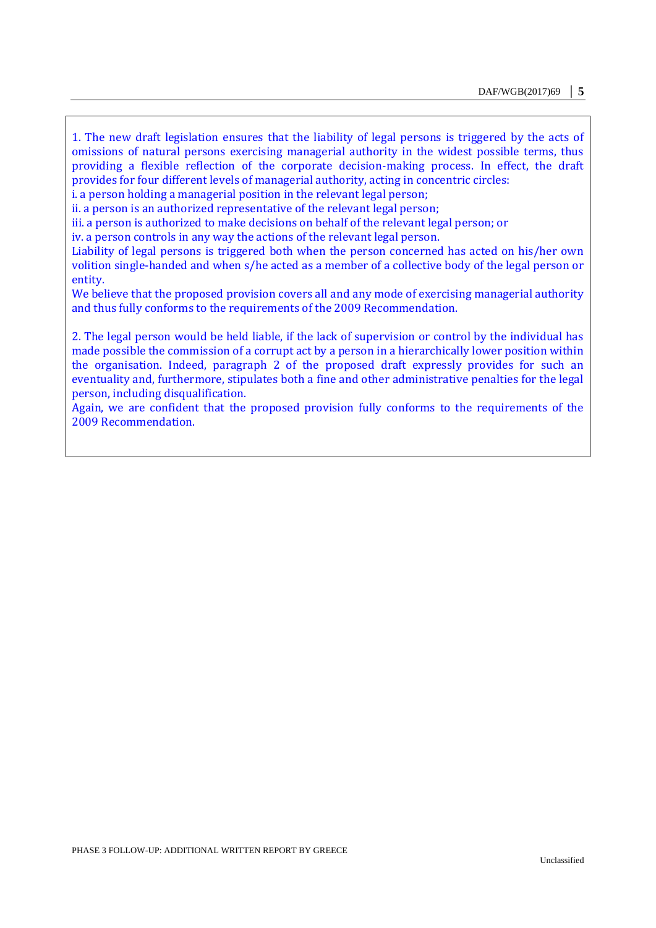1. The new draft legislation ensures that the liability of legal persons is triggered by the acts of omissions of natural persons exercising managerial authority in the widest possible terms, thus providing a flexible reflection of the corporate decision-making process. In effect, the draft provides for four different levels of managerial authority, acting in concentric circles:

i. a person holding a managerial position in the relevant legal person;

ii. a person is an authorized representative of the relevant legal person;

iii. a person is authorized to make decisions on behalf of the relevant legal person; or

iv. a person controls in any way the actions of the relevant legal person.

Liability of legal persons is triggered both when the person concerned has acted on his/her own volition single-handed and when s/he acted as a member of a collective body of the legal person or entity.

We believe that the proposed provision covers all and any mode of exercising managerial authority and thus fully conforms to the requirements of the 2009 Recommendation.

2. The legal person would be held liable, if the lack of supervision or control by the individual has made possible the commission of a corrupt act by a person in a hierarchically lower position within the organisation. Indeed, paragraph 2 of the proposed draft expressly provides for such an eventuality and, furthermore, stipulates both a fine and other administrative penalties for the legal person, including disqualification.

Again, we are confident that the proposed provision fully conforms to the requirements of the 2009 Recommendation.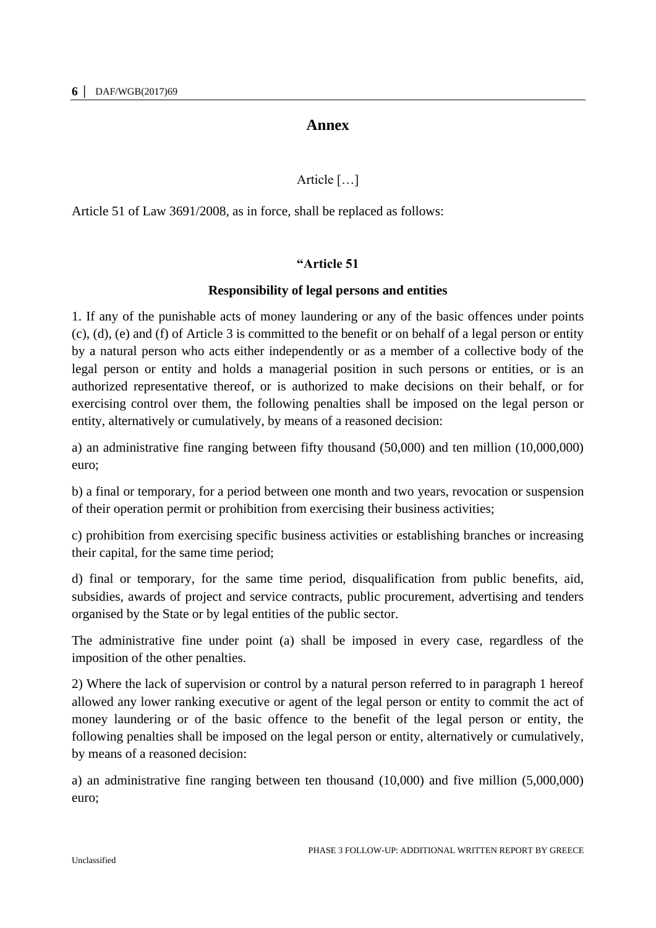# **Annex**

# Article […]

Article 51 of Law 3691/2008, as in force, shall be replaced as follows:

## **"Article 51**

## **Responsibility of legal persons and entities**

1. If any of the punishable acts of money laundering or any of the basic offences under points (c), (d), (e) and (f) of Article 3 is committed to the benefit or on behalf of a legal person or entity by a natural person who acts either independently or as a member of a collective body of the legal person or entity and holds a managerial position in such persons or entities, or is an authorized representative thereof, or is authorized to make decisions on their behalf, or for exercising control over them, the following penalties shall be imposed on the legal person or entity, alternatively or cumulatively, by means of a reasoned decision:

a) an administrative fine ranging between fifty thousand (50,000) and ten million (10,000,000) euro;

b) a final or temporary, for a period between one month and two years, revocation or suspension of their operation permit or prohibition from exercising their business activities;

c) prohibition from exercising specific business activities or establishing branches or increasing their capital, for the same time period;

d) final or temporary, for the same time period, disqualification from public benefits, aid, subsidies, awards of project and service contracts, public procurement, advertising and tenders organised by the State or by legal entities of the public sector.

The administrative fine under point (a) shall be imposed in every case, regardless of the imposition of the other penalties.

2) Where the lack of supervision or control by a natural person referred to in paragraph 1 hereof allowed any lower ranking executive or agent of the legal person or entity to commit the act of money laundering or of the basic offence to the benefit of the legal person or entity, the following penalties shall be imposed on the legal person or entity, alternatively or cumulatively, by means of a reasoned decision:

a) an administrative fine ranging between ten thousand (10,000) and five million (5,000,000) euro;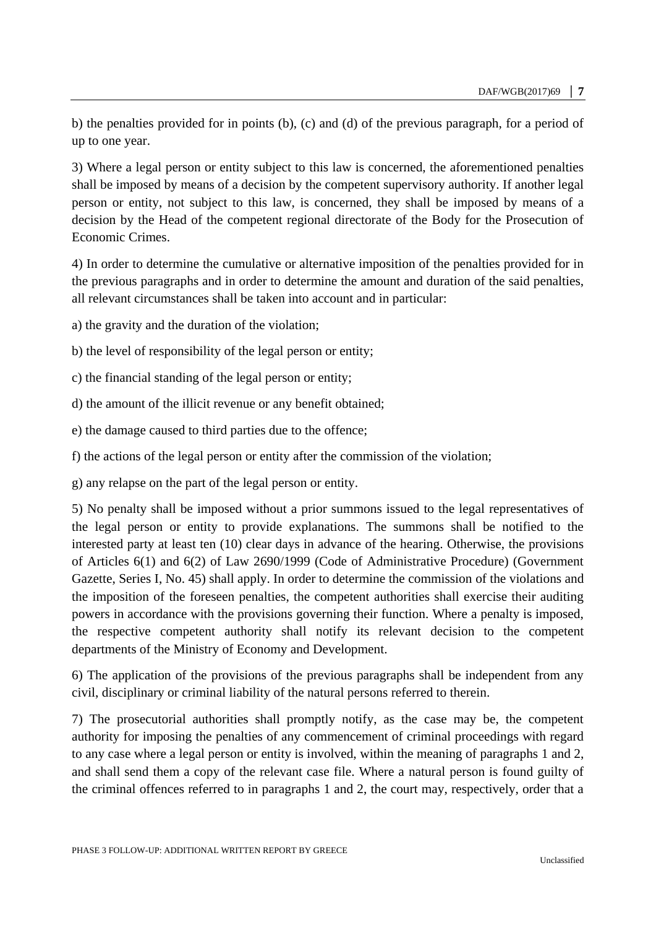b) the penalties provided for in points (b), (c) and (d) of the previous paragraph, for a period of up to one year.

3) Where a legal person or entity subject to this law is concerned, the aforementioned penalties shall be imposed by means of a decision by the competent supervisory authority. If another legal person or entity, not subject to this law, is concerned, they shall be imposed by means of a decision by the Head of the competent regional directorate of the Body for the Prosecution of Economic Crimes.

4) In order to determine the cumulative or alternative imposition of the penalties provided for in the previous paragraphs and in order to determine the amount and duration of the said penalties, all relevant circumstances shall be taken into account and in particular:

a) the gravity and the duration of the violation;

- b) the level of responsibility of the legal person or entity;
- c) the financial standing of the legal person or entity;
- d) the amount of the illicit revenue or any benefit obtained;
- e) the damage caused to third parties due to the offence;
- f) the actions of the legal person or entity after the commission of the violation;
- g) any relapse on the part of the legal person or entity.

5) No penalty shall be imposed without a prior summons issued to the legal representatives of the legal person or entity to provide explanations. The summons shall be notified to the interested party at least ten (10) clear days in advance of the hearing. Otherwise, the provisions of Articles 6(1) and 6(2) of Law 2690/1999 (Code of Administrative Procedure) (Government Gazette, Series I, No. 45) shall apply. In order to determine the commission of the violations and the imposition of the foreseen penalties, the competent authorities shall exercise their auditing powers in accordance with the provisions governing their function. Where a penalty is imposed, the respective competent authority shall notify its relevant decision to the competent departments of the Ministry of Economy and Development.

6) The application of the provisions of the previous paragraphs shall be independent from any civil, disciplinary or criminal liability of the natural persons referred to therein.

7) The prosecutorial authorities shall promptly notify, as the case may be, the competent authority for imposing the penalties of any commencement of criminal proceedings with regard to any case where a legal person or entity is involved, within the meaning of paragraphs 1 and 2, and shall send them a copy of the relevant case file. Where a natural person is found guilty of the criminal offences referred to in paragraphs 1 and 2, the court may, respectively, order that a